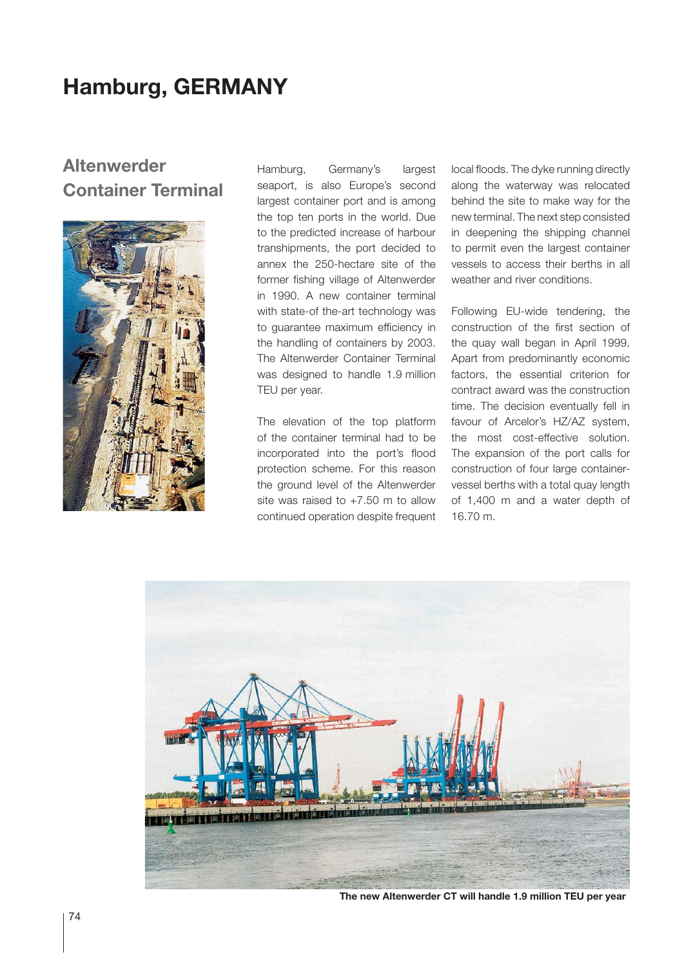# **Hamburg, GERMANY**

## **Altenwerder Container Terminal**



Hamburg, Germany's largest seaport, is also Europe's second largest container port and is among the top ten ports in the world. Due to the predicted increase of harbour transhipments, the port decided to annex the 250-hectare site of the former fishing village of Altenwerder in 1990. A new container terminal with state-of the-art technology was to guarantee maximum efficiency in the handling of containers by 2003. The Altenwerder Container Terminal was designed to handle 1.9 million TEU per year.

The elevation of the top platform of the container terminal had to be incorporated into the port's flood protection scheme. For this reason the ground level of the Altenwerder site was raised to  $+7.50$  m to allow continued operation despite frequent

local floods. The dyke running directly along the waterway was relocated behind the site to make way for the new terminal. The next step consisted in deepening the shipping channel to permit even the largest container vessels to access their berths in all weather and river conditions.

Following EU-wide tendering, the construction of the first section of the quay wall began in April 1999. Apart from predominantly economic factors, the essential criterion for contract award was the construction time. The decision eventually fell in favour of Arcelor's HZ/AZ system, the most cost-effective solution. The expansion of the port calls for construction of four large containervessel berths with a total quay length of 1,400 m and a water depth of 16.70 m.



**The new Altenwerder CT will handle 1.9 million TEU per year**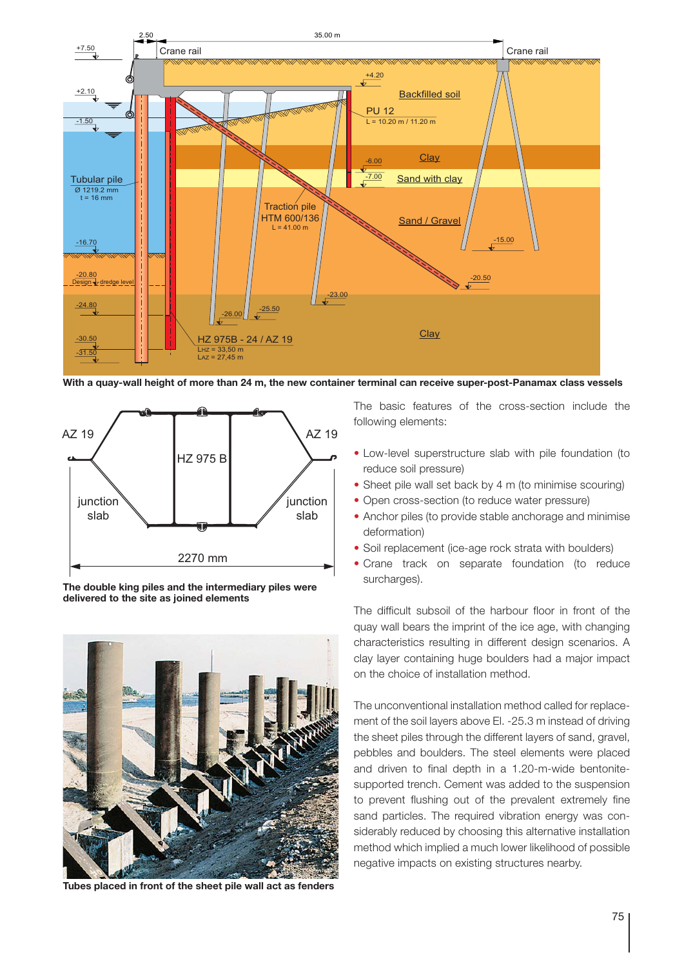

**With a quay-wall height of more than 24 m, the new container terminal can receive super-post-Panamax class vessels**



**The double king piles and the intermediary piles were delivered to the site as joined elements**



**Tubes placed in front of the sheet pile wall act as fenders**

The basic features of the cross-section include the following elements:

- Low-level superstructure slab with pile foundation (to reduce soil pressure)
- Sheet pile wall set back by 4 m (to minimise scouring)
- Open cross-section (to reduce water pressure)
- Anchor piles (to provide stable anchorage and minimise deformation)
- Soil replacement (ice-age rock strata with boulders)
- Crane track on separate foundation (to reduce surcharges).

The difficult subsoil of the harbour floor in front of the quay wall bears the imprint of the ice age, with changing characteristics resulting in different design scenarios. A clay layer containing huge boulders had a major impact on the choice of installation method.

The unconventional installation method called for replacement of the soil layers above El. -25.3 m instead of driving the sheet piles through the different layers of sand, gravel, pebbles and boulders. The steel elements were placed and driven to final depth in a 1.20-m-wide bentonitesupported trench. Cement was added to the suspension to prevent flushing out of the prevalent extremely fine sand particles. The required vibration energy was considerably reduced by choosing this alternative installation method which implied a much lower likelihood of possible negative impacts on existing structures nearby.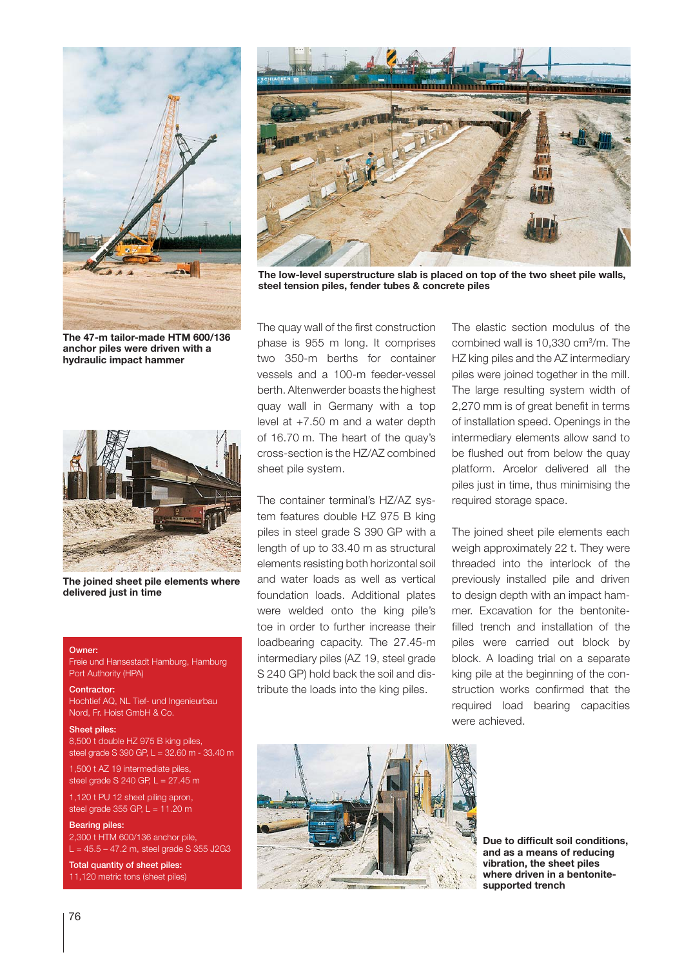

**The 47-m tailor-made HTM 600/136 anchor piles were driven with a hydraulic impact hammer**



**The joined sheet pile elements where delivered just in time**

### Owner:

Freie und Hansestadt Hamburg, Hamburg Port Authority (HPA)

#### Contractor:

Hochtief AQ, NL Tief- und Ingenieurbau Nord, Fr. Hoist GmbH & Co.

#### Sheet piles:

8,500 t double HZ 975 B king piles, steel grade S 390 GP, L = 32.60 m - 33.40 m

1,500 t AZ 19 intermediate piles, steel grade S 240 GP, L = 27.45 m

1,120 t PU 12 sheet piling apron, steel grade 355 GP,  $L = 11.20$  m

Bearing piles: 2,300 t HTM 600/136 anchor pile,  $L = 45.5 - 47.2$  m, steel grade S 355 J2G3

Total quantity of sheet piles: 11,120 metric tons (sheet piles)



**The low-level superstructure slab is placed on top of the two sheet pile walls, steel tension piles, fender tubes & concrete piles**

The quay wall of the first construction phase is 955 m long. It comprises two 350-m berths for container vessels and a 100-m feeder-vessel berth. Altenwerder boasts the highest quay wall in Germany with a top level at +7.50 m and a water depth of 16.70 m. The heart of the quay's cross-section is the HZ/AZ combined sheet pile system.

The container terminal's HZ/AZ system features double HZ 975 B king piles in steel grade S 390 GP with a length of up to 33.40 m as structural elements resisting both horizontal soil and water loads as well as vertical foundation loads. Additional plates were welded onto the king pile's toe in order to further increase their loadbearing capacity. The 27.45-m intermediary piles (AZ 19, steel grade S 240 GP) hold back the soil and distribute the loads into the king piles.

The elastic section modulus of the combined wall is 10,330 cm<sup>3</sup>/m. The HZ king piles and the AZ intermediary piles were joined together in the mill. The large resulting system width of 2,270 mm is of great benefit in terms of installation speed. Openings in the intermediary elements allow sand to be flushed out from below the quay platform. Arcelor delivered all the piles just in time, thus minimising the required storage space.

The joined sheet pile elements each weigh approximately 22 t. They were threaded into the interlock of the previously installed pile and driven to design depth with an impact hammer. Excavation for the bentonitefilled trench and installation of the piles were carried out block by block. A loading trial on a separate king pile at the beginning of the construction works confirmed that the required load bearing capacities were achieved.



**Due to difficult soil conditions, and as a means of reducing vibration, the sheet piles where driven in a bentonitesupported trench**